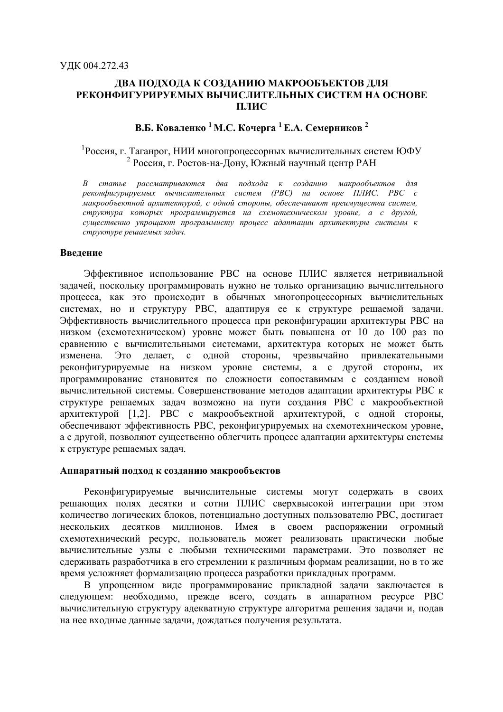# ДВА ПОДХОДА К СОЗДАНИЮ МАКРООБЪЕКТОВ ДЛЯ РЕКОНФИГУРИРУЕМЫХ ВЫЧИСЛИТЕЛЬНЫХ СИСТЕМ НА ОСНОВЕ ПЛИС

# В.Б. Коваленко <sup>1</sup> М.С. Кочерга <sup>1</sup> Е.А. Семерников<sup>2</sup>

# Россия, г. Таганрог, НИИ многопроцессорных вычислительных систем ЮФУ <sup>2</sup> Россия, г. Ростов-на-Дону, Южный научный центр РАН

В статье рассматриваются два подхода к созданию макрообъектов для реконфигурируемых вычислительных систем (РВС) на основе ПЛИС. РВС с макрообъектной архитектурой, с одной стороны, обеспечивают преимущества систем, структура которых программируется на схемотехническом уровне, а с другой, существенно упрощают программисту процесс адаптации архитектуры системы к структуре решаемых задач.

#### Введение

Эффективное использование РВС на основе ПЛИС является нетривиальной задачей, поскольку программировать нужно не только организацию вычислительного процесса, как это происходит в обычных многопроцессорных вычислительных системах, но и структуру РВС, адаптируя ее к структуре решаемой задачи. Эффективность вычислительного процесса при реконфигурации архитектуры РВС на низком (схемотехническом) уровне может быть повышена от 10 до 100 раз по сравнению с вычислительными системами, архитектура которых не может быть изменена. Это делает, с одной стороны. чрезвычайно привлекательными реконфигурируемые на низком уровне системы, а с другой стороны, их программирование становится по сложности сопоставимым с созданием новой вычислительной системы. Совершенствование методов адаптации архитектуры РВС к структуре решаемых задач возможно на пути создания РВС с макрообъектной архитектурой [1,2]. РВС с макрообъектной архитектурой, с одной стороны, обеспечивают эффективность РВС, реконфигурируемых на схемотехническом уровне, а с другой, позволяют существенно облегчить процесс адаптации архитектуры системы к структуре решаемых задач.

#### Аппаратный подход к созданию макрообъектов

Реконфигурируемые вычислительные системы могут содержать в своих решающих полях десятки и сотни ПЛИС сверхвысокой интеграции при этом количество логических блоков, потенциально доступных пользователю РВС, достигает миллионов. Имея в своем распоряжении нескольких лесятков огромный схемотехнический ресурс, пользователь может реализовать практически любые вычислительные узлы с любыми техническими параметрами. Это позволяет не сдерживать разработчика в его стремлении к различным формам реализации, но в то же время усложняет формализацию процесса разработки прикладных программ.

В упрощенном виде программирование прикладной задачи заключается в следующем: необходимо, прежде всего, создать в аппаратном ресурсе РВС вычислительную структуру адекватную структуре алгоритма решения задачи и, подав на нее входные данные задачи, дождаться получения результата.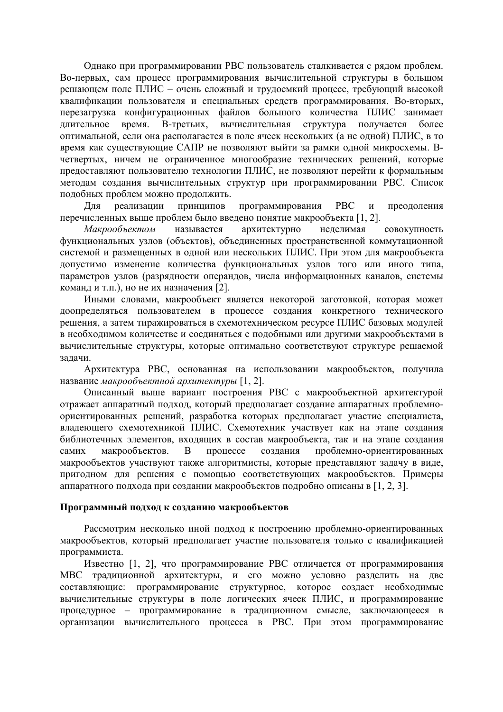Однако при программировании РВС пользователь сталкивается с рядом проблем. Во-первых, сам процесс программирования вычислительной структуры в большом решающем поле ПЛИС - очень сложный и трудоемкий процесс, требующий высокой квалификации пользователя и специальных средств программирования. Во-вторых, перезагрузка конфигурационных файлов большого количества ПЛИС занимает длительное время. В-третьих, вычислительная структура получается более оптимальной, если она располагается в поле ячеек нескольких (а не одной) ПЛИС, в то время как существующие САПР не позволяют выйти за рамки одной микросхемы. Вчетвертых, ничем не ограниченное многообразие технических решений, которые предоставляют пользователю технологии ПЛИС, не позволяют перейти к формальным методам создания вычислительных структур при программировании РВС. Список подобных проблем можно продолжить.

реализации принципов программирования PBC  $\mathbf{M}$ преодоления Для перечисленных выше проблем было введено понятие макрообъекта [1, 2].

Макрообъектом называется архитектурно неделимая совокупность функциональных узлов (объектов), объединенных пространственной коммутационной системой и размещенных в одной или нескольких ПЛИС. При этом для макрообъекта допустимо изменение количества функциональных узлов того или иного типа, параметров узлов (разрядности операндов, числа информационных каналов, системы команд и т.п.), но не их назначения [2].

Иными словами, макрообъект является некоторой заготовкой, которая может лоопределяться пользователем в процессе создания конкретного технического решения, а затем тиражироваться в схемотехническом ресурсе ПЛИС базовых модулей в необходимом количестве и соединяться с подобными или другими макрообъектами в вычислительные структуры, которые оптимально соответствуют структуре решаемой залачи.

Архитектура РВС, основанная на использовании макрообъектов, получила название макрообъектной архитектуры [1, 2].

Описанный выше вариант построения РВС с макрообъектной архитектурой отражает аппаратный подход, который предполагает создание аппаратных проблемноориентированных решений, разработка которых предполагает участие специалиста, владеющего схемотехникой ПЛИС. Схемотехник участвует как на этапе создания библиотечных элементов, входящих в состав макрообъекта, так и на этапе создания процессе создания проблемно-ориентированных самих макрообъектов.  $\overline{B}$ макрообъектов участвуют также алгоритмисты, которые представляют задачу в виде, пригодном для решения с помощью соответствующих макрообъектов. Примеры аппаратного подхода при создании макрообъектов подробно описаны в [1, 2, 3].

#### Программный полхол к созланию макрообъектов

Рассмотрим несколько иной подход к построению проблемно-ориентированных макрообъектов, который предполагает участие пользователя только с квалификацией программиста.

Известно [1, 2], что программирование РВС отличается от программирования МВС традиционной архитектуры, и его можно условно разделить на две составляющие: программирование структурное, которое создает необходимые вычислительные структуры в поле логических ячеек ПЛИС, и программирование процедурное - программирование в традиционном смысле, заключающееся в организации вычислительного процесса в РВС. При этом программирование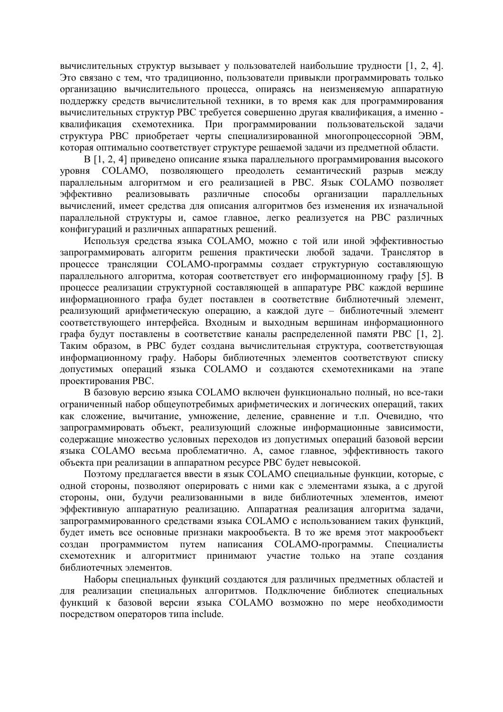вычислительных структур вызывает у пользователей наибольшие трудности [1, 2, 4]. Это связано с тем, что традиционно, пользователи привыкли программировать только организацию вычислительного процесса, опираясь на неизменяемую аппаратную поддержку средств вычислительной техники, в то время как для программирования вычислительных структур РВС требуется совершенно другая квалификация, а именно квалификация схемотехника. При программировании пользовательской задачи структура РВС приобретает черты специализированной многопроцессорной ЭВМ, которая оптимально соответствует структуре решаемой задачи из предметной области.

В [1, 2, 4] приведено описание языка параллельного программирования высокого COLAMO. позволяющего преодолеть семантический уровня разрыв между параллельным алгоритмом и его реализацией в РВС. Язык СОLAМО позволяет реализовывать различные способы организации эффективно параллельных вычислений, имеет средства для описания алгоритмов без изменения их изначальной параллельной структуры и, самое главное, легко реализуется на РВС различных конфигураций и различных аппаратных решений.

Используя средства языка СОLAMO, можно с той или иной эффективностью запрограммировать алгоритм решения практически любой задачи. Транслятор в процессе трансляции COLAMO-программы создает структурную составляющую параллельного алгоритма, которая соответствует его информационному графу [5]. В процессе реализации структурной составляющей в аппаратуре РВС каждой вершине информационного графа будет поставлен в соответствие библиотечный элемент, реализующий арифметическую операцию, а каждой дуге - библиотечный элемент соответствующего интерфейса. Входным и выходным вершинам информационного графа будут поставлены в соответствие каналы распределенной памяти РВС [1, 2]. Таким образом, в РВС будет создана вычислительная структура, соответствующая информационному графу. Наборы библиотечных элементов соответствуют списку допустимых операций языка COLAMO и создаются схемотехниками на этапе проектирования РВС.

В базовую версию языка COLAMO включен функционально полный, но все-таки ограниченный набор общеупотребимых арифметических и логических операций, таких как сложение, вычитание, умножение, деление, сравнение и т.п. Очевидно, что запрограммировать объект, реализующий сложные информационные зависимости, содержащие множество условных переходов из допустимых операций базовой версии языка COLAMO весьма проблематично. А, самое главное, эффективность такого объекта при реализации в аппаратном ресурсе РВС будет невысокой.

Поэтому предлагается ввести в язык COLAMO специальные функции, которые, с одной стороны, позволяют оперировать с ними как с элементами языка, а с другой стороны, они, будучи реализованными в виде библиотечных элементов, имеют эффективную аппаратную реализацию. Аппаратная реализация алгоритма задачи, запрограммированного средствами языка COLAMO с использованием таких функций, будет иметь все основные признаки макрообъекта. В то же время этот макрообъект программистом путем написания COLAMO-программы. Специалисты созлан схемотехник и алгоритмист принимают участие только на этапе создания библиотечных элементов.

Наборы специальных функций создаются для различных предметных областей и для реализации специальных алгоритмов. Подключение библиотек специальных функций к базовой версии языка COLAMO возможно по мере необходимости посредством операторов типа include.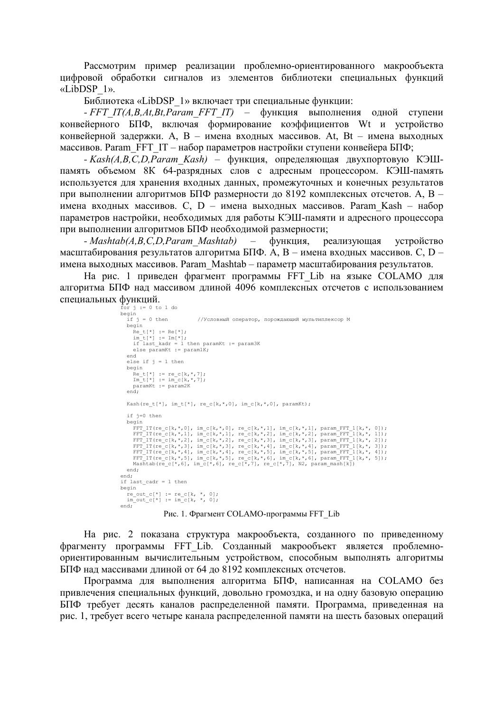Рассмотрим пример реализации проблемно-ориентированного макрообъекта цифровой обработки сигналов из элементов библиотеки специальных функций  $\kappa$ LibDSP  $1$ ».

Библиотека «LibDSP 1» включает три специальные функции:

- FFT IT(A,B,At,Bt,Param FFT IT) - функция выполнения одной ступени конвейерного БПФ, включая формирование коэффициентов Wt и устройство конвейерной задержки. А, В - имена входных массивов. At, Bt - имена выходных массивов. Рагат FFT IT – набор параметров настройки ступени конвейера БПФ;

- Kash(A,B,C,D,Param Kash) - функция, определяющая двухпортовую КЭШпамять объемом 8К 64-разрядных слов с адресным процессором. КЭШ-память используется для хранения входных данных, промежуточных и конечных результатов при выполнении алгоритмов БПФ размерности до 8192 комплексных отсчетов. А, В имена входных массивов. С. D - имена выходных массивов. Param Kash - набор параметров настройки, необходимых для работы КЭШ-памяти и адресного процессора при выполнении алгоритмов БПФ необходимой размерности;

- Mashtab(A,B,C,D,Param Mashtab)  $\sim$ функция, реализующая устройство масштабирования результатов алгоритма БПФ. А, В - имена входных массивов. С, D имена выходных массивов. Param Mashtab - параметр масштабирования результатов.

На рис. 1 приведен фрагмент программы FFT Lib на языке COLAMO для алгоритма БПФ над массивом длиной 4096 комплексных отсчетов с использованием специальных функций.

```
for j := 0 to 1 do<br>begin
   if i = 0 then//Условный оператор, порождающий мультиплексор М
   begin
      Re_t[t^*] := Re[t^*];<br>
im_t[t^*] := Im[t^*];if last_kadr = 1 then paramXt := param3K<br>else paramXt := param1K;
   else if j = 1 then
   begin<br>
Re_t[t^*] := re_c[k, *, 7];Im_t[*] := im_c[k, *, 7];<br>paramKt := param2K
   end:Kash(re t[*], im t[*], re c[k,*,0], im c[k,*,0], paramKt);
   if j=0 then
   begin
      FFT_IT(re_c[k,*,0], im_c[k,*,0], re_c[k,*,1], im_c[k,*,1], param_FFT_1[k,*,0]);<br>FFT_IT(re_c[k,*,1], im_c[k,*,1], re_c[k,*,2], im_c[k,*,2], param_FFT_1[k,*, 1]);<br>FFT_IT(re_c[k,*,2], im_c[k,*,2], re_c[k,*,3], im_c[k,*,3], p
      FFT_IT(re_c[k,*,3], im_c[k,*,3], re_c[k,*,4], im_c[k,*,4], param_FFT_1[k,*, 3]);
      FFT_IT(re_c[k,*,4], im_c[k,*,4], re_c[k,*,5], im_c[k,*,5], param_FFT_I[k,*, 4]);<br>FFT_IT(re_c[k,*,4], im_c[k,*,4], re_c[k,*,5], im_c[k,*,5], param_FFT_I[k,*, 4]);<br>FFT_IT(re_c[k,*,5], im_c[k,*,5], re_c[*,7], re_c[*,7], N2, 
   end:end:if last cadr = 1 then
begin
 re out c[*] := re c[k, *, 0],im_{\text{out}}^{-}c[*] := im_{c}^{-}[k, * , 0];end;
                     Рис. 1. Фрагмент COLAMO-программы FFT Lib
```
На рис. 2 показана структура макрообъекта, созданного по приведенному фрагменту программы FFT Lib. Созданный макрообъект является проблемноориентированным вычислительным устройством, способным выполнять алгоритмы БПФ над массивами длиной от 64 до 8192 комплексных отсчетов.

Программа для выполнения алгоритма БПФ, написанная на СОLAМО без привлечения специальных функций, довольно громоздка, и на одну базовую операцию БПФ требует десять каналов распределенной памяти. Программа, приведенная на рис. 1, требует всего четыре канала распределенной памяти на шесть базовых операций